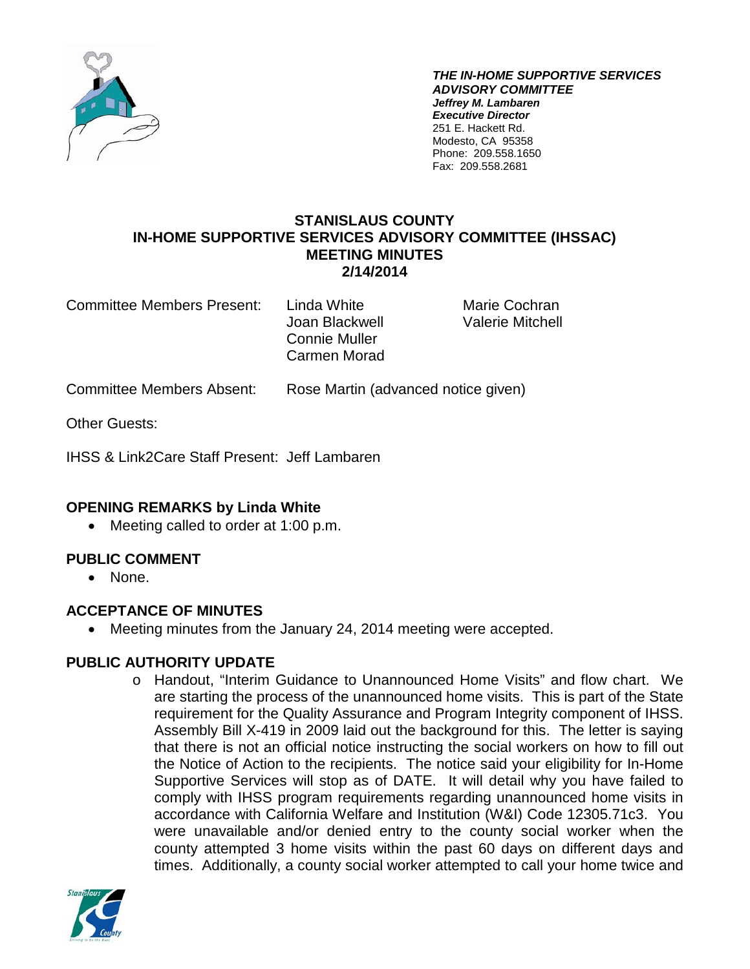

*THE IN-HOME SUPPORTIVE SERVICES ADVISORY COMMITTEE Jeffrey M. Lambaren Executive Director* 251 E. Hackett Rd. Modesto, CA 95358 Phone: 209.558.1650 Fax: 209.558.2681

#### **STANISLAUS COUNTY IN-HOME SUPPORTIVE SERVICES ADVISORY COMMITTEE (IHSSAC) MEETING MINUTES 2/14/2014**

Committee Members Present: Linda White Marie Cochran

Joan Blackwell Valerie Mitchell Connie Muller Carmen Morad

Committee Members Absent: Rose Martin (advanced notice given)

Other Guests:

IHSS & Link2Care Staff Present: Jeff Lambaren

# **OPENING REMARKS by Linda White**

• Meeting called to order at 1:00 p.m.

# **PUBLIC COMMENT**

• None.

# **ACCEPTANCE OF MINUTES**

• Meeting minutes from the January 24, 2014 meeting were accepted.

# **PUBLIC AUTHORITY UPDATE**

o Handout, "Interim Guidance to Unannounced Home Visits" and flow chart. We are starting the process of the unannounced home visits. This is part of the State requirement for the Quality Assurance and Program Integrity component of IHSS. Assembly Bill X-419 in 2009 laid out the background for this. The letter is saying that there is not an official notice instructing the social workers on how to fill out the Notice of Action to the recipients. The notice said your eligibility for In-Home Supportive Services will stop as of DATE. It will detail why you have failed to comply with IHSS program requirements regarding unannounced home visits in accordance with California Welfare and Institution (W&I) Code 12305.71c3. You were unavailable and/or denied entry to the county social worker when the county attempted 3 home visits within the past 60 days on different days and times. Additionally, a county social worker attempted to call your home twice and

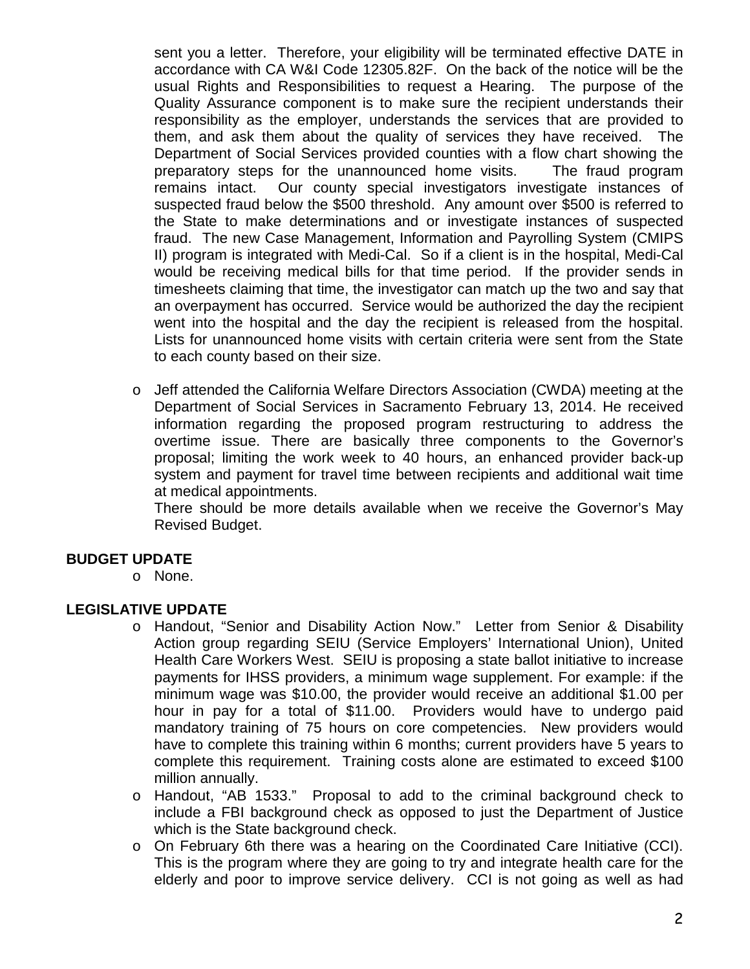sent you a letter. Therefore, your eligibility will be terminated effective DATE in accordance with CA W&I Code 12305.82F. On the back of the notice will be the usual Rights and Responsibilities to request a Hearing. The purpose of the Quality Assurance component is to make sure the recipient understands their responsibility as the employer, understands the services that are provided to them, and ask them about the quality of services they have received. The Department of Social Services provided counties with a flow chart showing the preparatory steps for the unannounced home visits. The fraud program remains intact. Our county special investigators investigate instances of suspected fraud below the \$500 threshold. Any amount over \$500 is referred to the State to make determinations and or investigate instances of suspected fraud. The new Case Management, Information and Payrolling System (CMIPS II) program is integrated with Medi-Cal. So if a client is in the hospital, Medi-Cal would be receiving medical bills for that time period. If the provider sends in timesheets claiming that time, the investigator can match up the two and say that an overpayment has occurred. Service would be authorized the day the recipient went into the hospital and the day the recipient is released from the hospital. Lists for unannounced home visits with certain criteria were sent from the State to each county based on their size.

o Jeff attended the California Welfare Directors Association (CWDA) meeting at the Department of Social Services in Sacramento February 13, 2014. He received information regarding the proposed program restructuring to address the overtime issue. There are basically three components to the Governor's proposal; limiting the work week to 40 hours, an enhanced provider back-up system and payment for travel time between recipients and additional wait time at medical appointments.

There should be more details available when we receive the Governor's May Revised Budget.

#### **BUDGET UPDATE**

o None.

#### **LEGISLATIVE UPDATE**

- o Handout, "Senior and Disability Action Now." Letter from Senior & Disability Action group regarding SEIU (Service Employers' International Union), United Health Care Workers West. SEIU is proposing a state ballot initiative to increase payments for IHSS providers, a minimum wage supplement. For example: if the minimum wage was \$10.00, the provider would receive an additional \$1.00 per hour in pay for a total of \$11.00. Providers would have to undergo paid mandatory training of 75 hours on core competencies. New providers would have to complete this training within 6 months; current providers have 5 years to complete this requirement. Training costs alone are estimated to exceed \$100 million annually.
- o Handout, "AB 1533." Proposal to add to the criminal background check to include a FBI background check as opposed to just the Department of Justice which is the State background check.
- o On February 6th there was a hearing on the Coordinated Care Initiative (CCI). This is the program where they are going to try and integrate health care for the elderly and poor to improve service delivery. CCI is not going as well as had